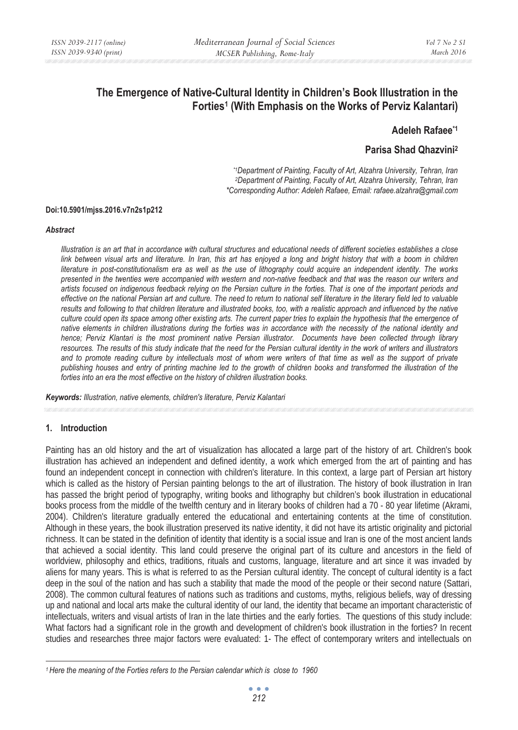# **The Emergence of Native-Cultural Identity in Children's Book Illustration in the Forties1 (With Emphasis on the Works of Perviz Kalantari)**

## **Adeleh Rafaee\*1**

# **Parisa Shad Qhazvini2**

*\*1Department of Painting, Faculty of Art, Alzahra University, Tehran, Iran 2Department of Painting, Faculty of Art, Alzahra University, Tehran, Iran \*Corresponding Author: Adeleh Rafaee, Email: rafaee.alzahra@gmail.com* 

#### **Doi:10.5901/mjss.2016.v7n2s1p212**

#### *Abstract*

*Illustration is an art that in accordance with cultural structures and educational needs of different societies establishes a close link between visual arts and literature. In Iran, this art has enjoyed a long and bright history that with a boom in children literature in post-constitutionalism era as well as the use of lithography could acquire an independent identity. The works presented in the twenties were accompanied with western and non-native feedback and that was the reason our writers and artists focused on indigenous feedback relying on the Persian culture in the forties. That is one of the important periods and effective on the national Persian art and culture. The need to return to national self literature in the literary field led to valuable results and following to that children literature and illustrated books, too, with a realistic approach and influenced by the native culture could open its space among other existing arts. The current paper tries to explain the hypothesis that the emergence of native elements in children illustrations during the forties was in accordance with the necessity of the national identity and hence; Perviz Klantari is the most prominent native Persian illustrator. Documents have been collected through library resources. The results of this study indicate that the need for the Persian cultural identity in the work of writers and illustrators*  and to promote reading culture by intellectuals most of whom were writers of that time as well as the support of private *publishing houses and entry of printing machine led to the growth of children books and transformed the illustration of the forties into an era the most effective on the history of children illustration books.* 

*Keywords: Illustration, native elements, children's literature, Perviz Kalantari*

#### **1. Introduction**

Painting has an old history and the art of visualization has allocated a large part of the history of art. Children's book illustration has achieved an independent and defined identity, a work which emerged from the art of painting and has found an independent concept in connection with children's literature. In this context, a large part of Persian art history which is called as the history of Persian painting belongs to the art of illustration. The history of book illustration in Iran has passed the bright period of typography, writing books and lithography but children's book illustration in educational books process from the middle of the twelfth century and in literary books of children had a 70 - 80 year lifetime (Akrami, 2004). Children's literature gradually entered the educational and entertaining contents at the time of constitution. Although in these years, the book illustration preserved its native identity, it did not have its artistic originality and pictorial richness. It can be stated in the definition of identity that identity is a social issue and Iran is one of the most ancient lands that achieved a social identity. This land could preserve the original part of its culture and ancestors in the field of worldview, philosophy and ethics, traditions, rituals and customs, language, literature and art since it was invaded by aliens for many years. This is what is referred to as the Persian cultural identity. The concept of cultural identity is a fact deep in the soul of the nation and has such a stability that made the mood of the people or their second nature (Sattari, 2008). The common cultural features of nations such as traditions and customs, myths, religious beliefs, way of dressing up and national and local arts make the cultural identity of our land, the identity that became an important characteristic of intellectuals, writers and visual artists of Iran in the late thirties and the early forties. The questions of this study include: What factors had a significant role in the growth and development of children's book illustration in the forties? In recent studies and researches three major factors were evaluated: 1- The effect of contemporary writers and intellectuals on

*<sup>1</sup> Here the meaning of the Forties refers to the Persian calendar which is close to 1960*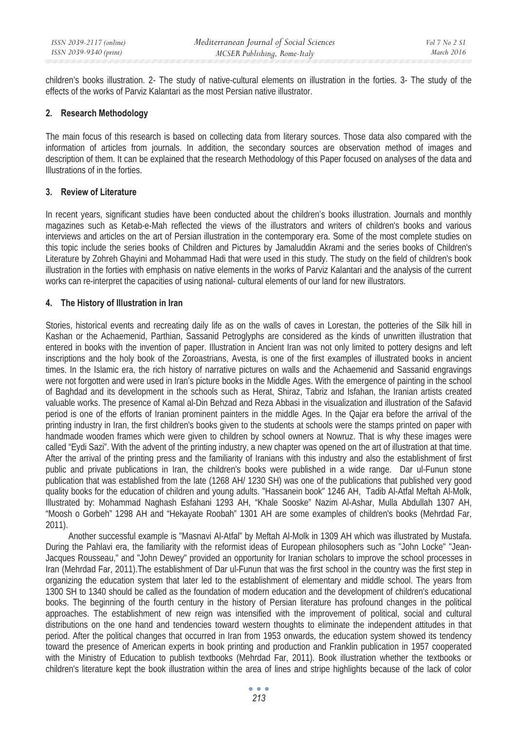children's books illustration. 2- The study of native-cultural elements on illustration in the forties. 3- The study of the effects of the works of Parviz Kalantari as the most Persian native illustrator.

## **2. Research Methodology**

The main focus of this research is based on collecting data from literary sources. Those data also compared with the information of articles from journals. In addition, the secondary sources are observation method of images and description of them. It can be explained that the research Methodology of this Paper focused on analyses of the data and Illustrations of in the forties.

### **3. Review of Literature**

In recent years, significant studies have been conducted about the children's books illustration. Journals and monthly magazines such as Ketab-e-Mah reflected the views of the illustrators and writers of children's books and various interviews and articles on the art of Persian illustration in the contemporary era. Some of the most complete studies on this topic include the series books of Children and Pictures by Jamaluddin Akrami and the series books of Children's Literature by Zohreh Ghayini and Mohammad Hadi that were used in this study. The study on the field of children's book illustration in the forties with emphasis on native elements in the works of Parviz Kalantari and the analysis of the current works can re-interpret the capacities of using national- cultural elements of our land for new illustrators.

# **4. The History of Illustration in Iran**

Stories, historical events and recreating daily life as on the walls of caves in Lorestan, the potteries of the Silk hill in Kashan or the Achaemenid, Parthian, Sassanid Petroglyphs are considered as the kinds of unwritten illustration that entered in books with the invention of paper. Illustration in Ancient Iran was not only limited to pottery designs and left inscriptions and the holy book of the Zoroastrians, Avesta, is one of the first examples of illustrated books in ancient times. In the Islamic era, the rich history of narrative pictures on walls and the Achaemenid and Sassanid engravings were not forgotten and were used in Iran's picture books in the Middle Ages. With the emergence of painting in the school of Baghdad and its development in the schools such as Herat, Shiraz, Tabriz and Isfahan, the Iranian artists created valuable works. The presence of Kamal al-Din Behzad and Reza Abbasi in the visualization and illustration of the Safavid period is one of the efforts of Iranian prominent painters in the middle Ages. In the Qajar era before the arrival of the printing industry in Iran, the first children's books given to the students at schools were the stamps printed on paper with handmade wooden frames which were given to children by school owners at Nowruz. That is why these images were called "Eydi Sazi". With the advent of the printing industry, a new chapter was opened on the art of illustration at that time. After the arrival of the printing press and the familiarity of Iranians with this industry and also the establishment of first public and private publications in Iran, the children's books were published in a wide range. Dar ul-Funun stone publication that was established from the late (1268 AH/ 1230 SH) was one of the publications that published very good quality books for the education of children and young adults. "Hassanein book" 1246 AH, Tadib Al-Atfal Meftah Al-Molk, Illustrated by: Mohammad Naghash Esfahani 1293 AH, "Khale Sooske" Nazim Al-Ashar, Mulla Abdullah 1307 AH, "Moosh o Gorbeh" 1298 AH and "Hekayate Roobah" 1301 AH are some examples of children's books (Mehrdad Far, 2011).

Another successful example is "Masnavi Al-Atfal" by Meftah Al-Molk in 1309 AH which was illustrated by Mustafa. During the Pahlavi era, the familiarity with the reformist ideas of European philosophers such as "John Locke" "Jean-Jacques Rousseau," and "John Dewey" provided an opportunity for Iranian scholars to improve the school processes in Iran (Mehrdad Far, 2011).The establishment of Dar ul-Funun that was the first school in the country was the first step in organizing the education system that later led to the establishment of elementary and middle school. The years from 1300 SH to 1340 should be called as the foundation of modern education and the development of children's educational books. The beginning of the fourth century in the history of Persian literature has profound changes in the political approaches. The establishment of new reign was intensified with the improvement of political, social and cultural distributions on the one hand and tendencies toward western thoughts to eliminate the independent attitudes in that period. After the political changes that occurred in Iran from 1953 onwards, the education system showed its tendency toward the presence of American experts in book printing and production and Franklin publication in 1957 cooperated with the Ministry of Education to publish textbooks (Mehrdad Far, 2011). Book illustration whether the textbooks or children's literature kept the book illustration within the area of lines and stripe highlights because of the lack of color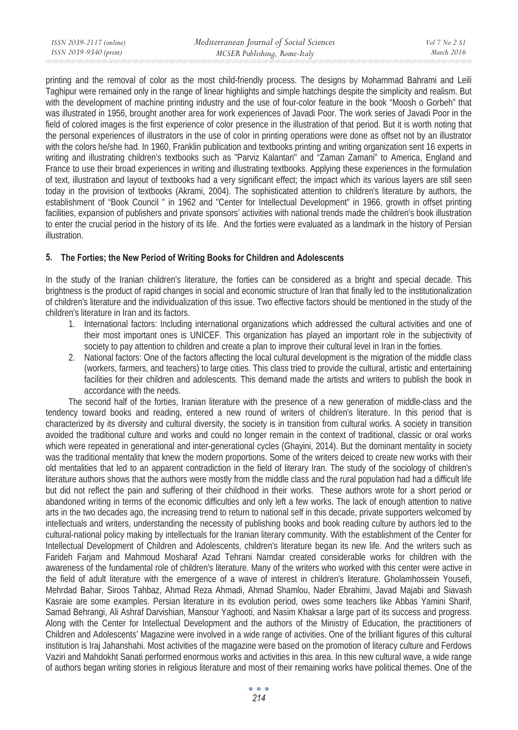printing and the removal of color as the most child-friendly process. The designs by Mohammad Bahrami and Leili Taghipur were remained only in the range of linear highlights and simple hatchings despite the simplicity and realism. But with the development of machine printing industry and the use of four-color feature in the book "Moosh o Gorbeh" that was illustrated in 1956, brought another area for work experiences of Javadi Poor. The work series of Javadi Poor in the field of colored images is the first experience of color presence in the illustration of that period. But it is worth noting that the personal experiences of illustrators in the use of color in printing operations were done as offset not by an illustrator with the colors he/she had. In 1960, Franklin publication and textbooks printing and writing organization sent 16 experts in writing and illustrating children's textbooks such as "Parviz Kalantari" and "Zaman Zamani" to America, England and France to use their broad experiences in writing and illustrating textbooks. Applying these experiences in the formulation of text, illustration and layout of textbooks had a very significant effect; the impact which its various layers are still seen today in the provision of textbooks (Akrami, 2004). The sophisticated attention to children's literature by authors, the establishment of "Book Council " in 1962 and "Center for Intellectual Development" in 1966, growth in offset printing facilities, expansion of publishers and private sponsors' activities with national trends made the children's book illustration to enter the crucial period in the history of its life. And the forties were evaluated as a landmark in the history of Persian illustration.

# **5. The Forties; the New Period of Writing Books for Children and Adolescents**

In the study of the Iranian children's literature, the forties can be considered as a bright and special decade. This brightness is the product of rapid changes in social and economic structure of Iran that finally led to the institutionalization of children's literature and the individualization of this issue. Two effective factors should be mentioned in the study of the children's literature in Iran and its factors.

- 1. International factors: Including international organizations which addressed the cultural activities and one of their most important ones is UNICEF. This organization has played an important role in the subjectivity of society to pay attention to children and create a plan to improve their cultural level in Iran in the forties.
- 2. National factors: One of the factors affecting the local cultural development is the migration of the middle class (workers, farmers, and teachers) to large cities. This class tried to provide the cultural, artistic and entertaining facilities for their children and adolescents. This demand made the artists and writers to publish the book in accordance with the needs.

The second half of the forties, Iranian literature with the presence of a new generation of middle-class and the tendency toward books and reading, entered a new round of writers of children's literature. In this period that is characterized by its diversity and cultural diversity, the society is in transition from cultural works. A society in transition avoided the traditional culture and works and could no longer remain in the context of traditional, classic or oral works which were repeated in generational and inter-generational cycles (Ghayini, 2014). But the dominant mentality in society was the traditional mentality that knew the modern proportions. Some of the writers deiced to create new works with their old mentalities that led to an apparent contradiction in the field of literary Iran. The study of the sociology of children's literature authors shows that the authors were mostly from the middle class and the rural population had had a difficult life but did not reflect the pain and suffering of their childhood in their works. These authors wrote for a short period or abandoned writing in terms of the economic difficulties and only left a few works. The lack of enough attention to native arts in the two decades ago, the increasing trend to return to national self in this decade, private supporters welcomed by intellectuals and writers, understanding the necessity of publishing books and book reading culture by authors led to the cultural-national policy making by intellectuals for the Iranian literary community. With the establishment of the Center for Intellectual Development of Children and Adolescents, children's literature began its new life. And the writers such as Farideh Farjam and Mahmoud Mosharaf Azad Tehrani Namdar created considerable works for children with the awareness of the fundamental role of children's literature. Many of the writers who worked with this center were active in the field of adult literature with the emergence of a wave of interest in children's literature. Gholamhossein Yousefi, Mehrdad Bahar, Siroos Tahbaz, Ahmad Reza Ahmadi, Ahmad Shamlou, Nader Ebrahimi, Javad Majabi and Siavash Kasraie are some examples. Persian literature in its evolution period, owes some teachers like Abbas Yamini Sharif, Samad Behrangi, Ali Ashraf Darvishian, Mansour Yaghooti, and Nasim Khaksar a large part of its success and progress. Along with the Center for Intellectual Development and the authors of the Ministry of Education, the practitioners of Children and Adolescents' Magazine were involved in a wide range of activities. One of the brilliant figures of this cultural institution is Iraj Jahanshahi. Most activities of the magazine were based on the promotion of literacy culture and Ferdows Vaziri and Mahdokht Sanati performed enormous works and activities in this area. In this new cultural wave, a wide range of authors began writing stories in religious literature and most of their remaining works have political themes. One of the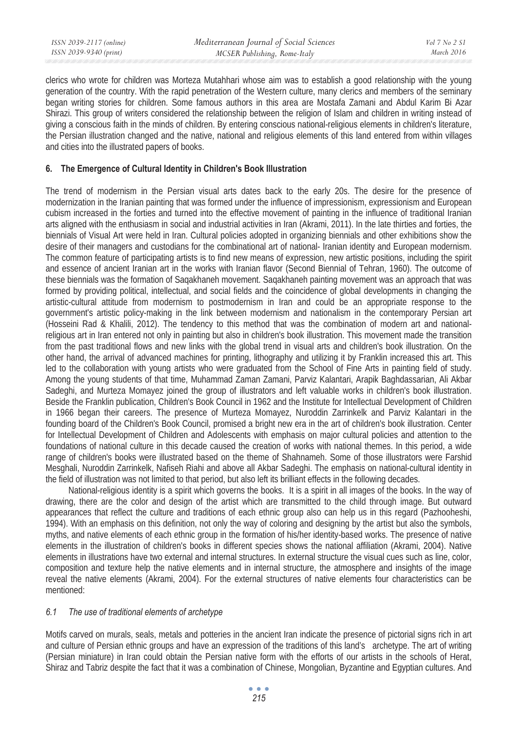| ISSN 2039-2117 (online) | Mediterranean Journal of Social Sciences | Vol 7 No 2 S1 |
|-------------------------|------------------------------------------|---------------|
| ISSN 2039-9340 (print)  | MCSER Publishing, Rome-Italy             | March 2016    |

clerics who wrote for children was Morteza Mutahhari whose aim was to establish a good relationship with the young generation of the country. With the rapid penetration of the Western culture, many clerics and members of the seminary began writing stories for children. Some famous authors in this area are Mostafa Zamani and Abdul Karim Bi Azar Shirazi. This group of writers considered the relationship between the religion of Islam and children in writing instead of giving a conscious faith in the minds of children. By entering conscious national-religious elements in children's literature, the Persian illustration changed and the native, national and religious elements of this land entered from within villages and cities into the illustrated papers of books.

#### **6. The Emergence of Cultural Identity in Children's Book Illustration**

The trend of modernism in the Persian visual arts dates back to the early 20s. The desire for the presence of modernization in the Iranian painting that was formed under the influence of impressionism, expressionism and European cubism increased in the forties and turned into the effective movement of painting in the influence of traditional Iranian arts aligned with the enthusiasm in social and industrial activities in Iran (Akrami, 2011). In the late thirties and forties, the biennials of Visual Art were held in Iran. Cultural policies adopted in organizing biennials and other exhibitions show the desire of their managers and custodians for the combinational art of national- Iranian identity and European modernism. The common feature of participating artists is to find new means of expression, new artistic positions, including the spirit and essence of ancient Iranian art in the works with Iranian flavor (Second Biennial of Tehran, 1960). The outcome of these biennials was the formation of Saqakhaneh movement. Saqakhaneh painting movement was an approach that was formed by providing political, intellectual, and social fields and the coincidence of global developments in changing the artistic-cultural attitude from modernism to postmodernism in Iran and could be an appropriate response to the government's artistic policy-making in the link between modernism and nationalism in the contemporary Persian art (Hosseini Rad & Khalili, 2012). The tendency to this method that was the combination of modern art and nationalreligious art in Iran entered not only in painting but also in children's book illustration. This movement made the transition from the past traditional flows and new links with the global trend in visual arts and children's book illustration. On the other hand, the arrival of advanced machines for printing, lithography and utilizing it by Franklin increased this art. This led to the collaboration with young artists who were graduated from the School of Fine Arts in painting field of study. Among the young students of that time, Muhammad Zaman Zamani, Parviz Kalantari, Arapik Baghdassarian, Ali Akbar Sadeghi, and Murteza Momayez joined the group of illustrators and left valuable works in children's book illustration. Beside the Franklin publication, Children's Book Council in 1962 and the Institute for Intellectual Development of Children in 1966 began their careers. The presence of Murteza Momayez, Nuroddin Zarrinkelk and Parviz Kalantari in the founding board of the Children's Book Council, promised a bright new era in the art of children's book illustration. Center for Intellectual Development of Children and Adolescents with emphasis on major cultural policies and attention to the foundations of national culture in this decade caused the creation of works with national themes. In this period, a wide range of children's books were illustrated based on the theme of Shahnameh. Some of those illustrators were Farshid Mesghali, Nuroddin Zarrinkelk, Nafiseh Riahi and above all Akbar Sadeghi. The emphasis on national-cultural identity in the field of illustration was not limited to that period, but also left its brilliant effects in the following decades.

National-religious identity is a spirit which governs the books. It is a spirit in all images of the books. In the way of drawing, there are the color and design of the artist which are transmitted to the child through image. But outward appearances that reflect the culture and traditions of each ethnic group also can help us in this regard (Pazhooheshi, 1994). With an emphasis on this definition, not only the way of coloring and designing by the artist but also the symbols, myths, and native elements of each ethnic group in the formation of his/her identity-based works. The presence of native elements in the illustration of children's books in different species shows the national affiliation (Akrami, 2004). Native elements in illustrations have two external and internal structures. In external structure the visual cues such as line, color, composition and texture help the native elements and in internal structure, the atmosphere and insights of the image reveal the native elements (Akrami, 2004). For the external structures of native elements four characteristics can be mentioned:

#### *6.1 The use of traditional elements of archetype*

Motifs carved on murals, seals, metals and potteries in the ancient Iran indicate the presence of pictorial signs rich in art and culture of Persian ethnic groups and have an expression of the traditions of this land's archetype. The art of writing (Persian miniature) in Iran could obtain the Persian native form with the efforts of our artists in the schools of Herat, Shiraz and Tabriz despite the fact that it was a combination of Chinese, Mongolian, Byzantine and Egyptian cultures. And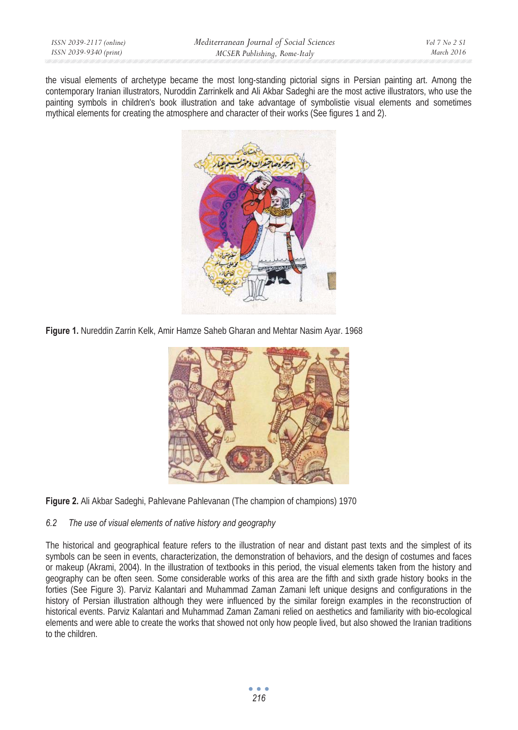the visual elements of archetype became the most long-standing pictorial signs in Persian painting art. Among the contemporary Iranian illustrators, Nuroddin Zarrinkelk and Ali Akbar Sadeghi are the most active illustrators, who use the painting symbols in children's book illustration and take advantage of symbolistie visual elements and sometimes mythical elements for creating the atmosphere and character of their works (See figures 1 and 2).



**Figure 1.** Nureddin Zarrin Kelk, Amir Hamze Saheb Gharan and Mehtar Nasim Ayar. 1968



**Figure 2.** Ali Akbar Sadeghi, Pahlevane Pahlevanan (The champion of champions) 1970

# *6.2 The use of visual elements of native history and geography*

The historical and geographical feature refers to the illustration of near and distant past texts and the simplest of its symbols can be seen in events, characterization, the demonstration of behaviors, and the design of costumes and faces or makeup (Akrami, 2004). In the illustration of textbooks in this period, the visual elements taken from the history and geography can be often seen. Some considerable works of this area are the fifth and sixth grade history books in the forties (See Figure 3). Parviz Kalantari and Muhammad Zaman Zamani left unique designs and configurations in the history of Persian illustration although they were influenced by the similar foreign examples in the reconstruction of historical events. Parviz Kalantari and Muhammad Zaman Zamani relied on aesthetics and familiarity with bio-ecological elements and were able to create the works that showed not only how people lived, but also showed the Iranian traditions to the children.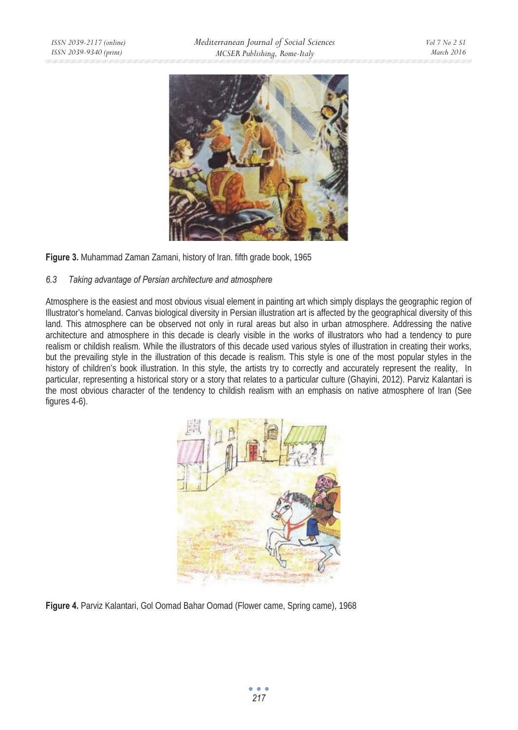

**Figure 3.** Muhammad Zaman Zamani, history of Iran. fifth grade book, 1965

# *6.3 Taking advantage of Persian architecture and atmosphere*

Atmosphere is the easiest and most obvious visual element in painting art which simply displays the geographic region of Illustrator's homeland. Canvas biological diversity in Persian illustration art is affected by the geographical diversity of this land. This atmosphere can be observed not only in rural areas but also in urban atmosphere. Addressing the native architecture and atmosphere in this decade is clearly visible in the works of illustrators who had a tendency to pure realism or childish realism. While the illustrators of this decade used various styles of illustration in creating their works, but the prevailing style in the illustration of this decade is realism. This style is one of the most popular styles in the history of children's book illustration. In this style, the artists try to correctly and accurately represent the reality, In particular, representing a historical story or a story that relates to a particular culture (Ghayini, 2012). Parviz Kalantari is the most obvious character of the tendency to childish realism with an emphasis on native atmosphere of Iran (See figures 4-6).



**Figure 4.** Parviz Kalantari, Gol Oomad Bahar Oomad (Flower came, Spring came), 1968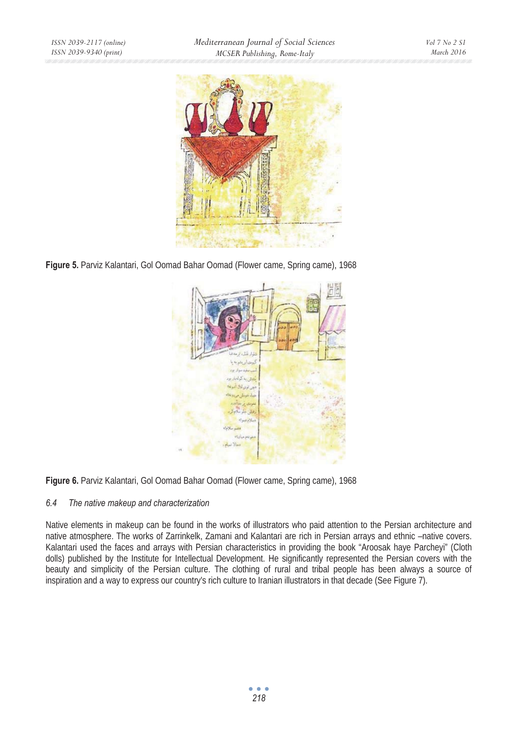

**Figure 5.** Parviz Kalantari, Gol Oomad Bahar Oomad (Flower came, Spring came), 1968



**Figure 6.** Parviz Kalantari, Gol Oomad Bahar Oomad (Flower came, Spring came), 1968

# *6.4 The native makeup and characterization*

Native elements in makeup can be found in the works of illustrators who paid attention to the Persian architecture and native atmosphere. The works of Zarrinkelk, Zamani and Kalantari are rich in Persian arrays and ethnic –native covers. Kalantari used the faces and arrays with Persian characteristics in providing the book "Aroosak haye Parcheyi" (Cloth dolls) published by the Institute for Intellectual Development. He significantly represented the Persian covers with the beauty and simplicity of the Persian culture. The clothing of rural and tribal people has been always a source of inspiration and a way to express our country's rich culture to Iranian illustrators in that decade (See Figure 7).

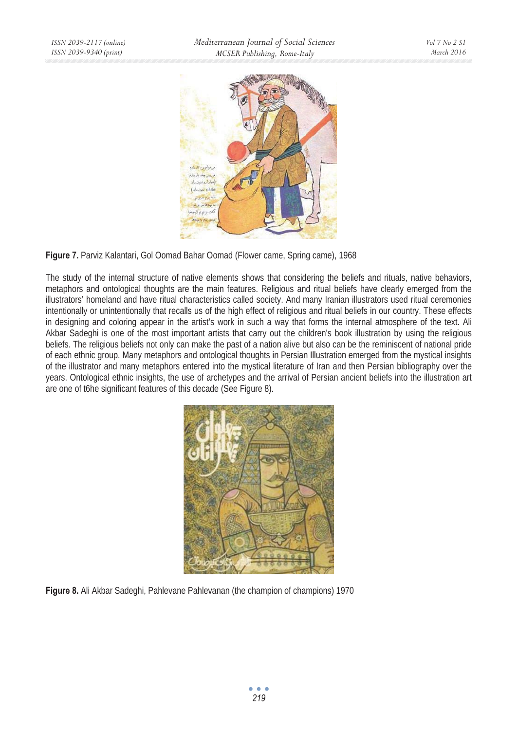

**Figure 7.** Parviz Kalantari, Gol Oomad Bahar Oomad (Flower came, Spring came), 1968

The study of the internal structure of native elements shows that considering the beliefs and rituals, native behaviors, metaphors and ontological thoughts are the main features. Religious and ritual beliefs have clearly emerged from the illustrators' homeland and have ritual characteristics called society. And many Iranian illustrators used ritual ceremonies intentionally or unintentionally that recalls us of the high effect of religious and ritual beliefs in our country. These effects in designing and coloring appear in the artist's work in such a way that forms the internal atmosphere of the text. Ali Akbar Sadeghi is one of the most important artists that carry out the children's book illustration by using the religious beliefs. The religious beliefs not only can make the past of a nation alive but also can be the reminiscent of national pride of each ethnic group. Many metaphors and ontological thoughts in Persian Illustration emerged from the mystical insights of the illustrator and many metaphors entered into the mystical literature of Iran and then Persian bibliography over the years. Ontological ethnic insights, the use of archetypes and the arrival of Persian ancient beliefs into the illustration art are one of t6he significant features of this decade (See Figure 8).



**Figure 8.** Ali Akbar Sadeghi, Pahlevane Pahlevanan (the champion of champions) 1970

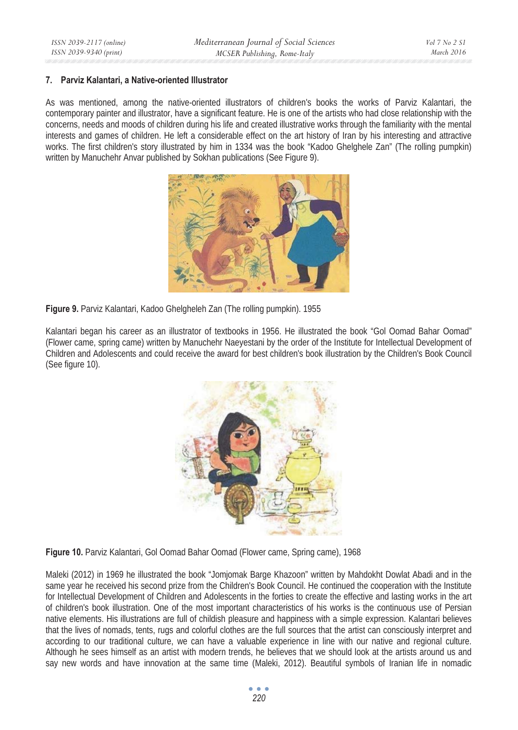#### **7. Parviz Kalantari, a Native-oriented Illustrator**

As was mentioned, among the native-oriented illustrators of children's books the works of Parviz Kalantari, the contemporary painter and illustrator, have a significant feature. He is one of the artists who had close relationship with the concerns, needs and moods of children during his life and created illustrative works through the familiarity with the mental interests and games of children. He left a considerable effect on the art history of Iran by his interesting and attractive works. The first children's story illustrated by him in 1334 was the book "Kadoo Ghelghele Zan" (The rolling pumpkin) written by Manuchehr Anvar published by Sokhan publications (See Figure 9).



**Figure 9.** Parviz Kalantari, Kadoo Ghelgheleh Zan (The rolling pumpkin). 1955

Kalantari began his career as an illustrator of textbooks in 1956. He illustrated the book "Gol Oomad Bahar Oomad" (Flower came, spring came) written by Manuchehr Naeyestani by the order of the Institute for Intellectual Development of Children and Adolescents and could receive the award for best children's book illustration by the Children's Book Council (See figure 10).



**Figure 10.** Parviz Kalantari, Gol Oomad Bahar Oomad (Flower came, Spring came), 1968

Maleki (2012) in 1969 he illustrated the book "Jomjomak Barge Khazoon" written by Mahdokht Dowlat Abadi and in the same year he received his second prize from the Children's Book Council. He continued the cooperation with the Institute for Intellectual Development of Children and Adolescents in the forties to create the effective and lasting works in the art of children's book illustration. One of the most important characteristics of his works is the continuous use of Persian native elements. His illustrations are full of childish pleasure and happiness with a simple expression. Kalantari believes that the lives of nomads, tents, rugs and colorful clothes are the full sources that the artist can consciously interpret and according to our traditional culture, we can have a valuable experience in line with our native and regional culture. Although he sees himself as an artist with modern trends, he believes that we should look at the artists around us and say new words and have innovation at the same time (Maleki, 2012). Beautiful symbols of Iranian life in nomadic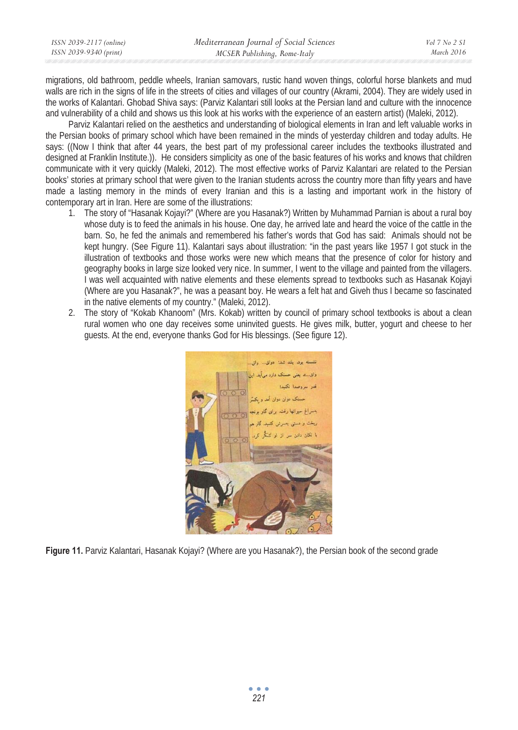| ISSN 2039-2117 (online) | Mediterranean Journal of Social Sciences | Vol 7 No 2 SI |
|-------------------------|------------------------------------------|---------------|
| ISSN 2039-9340 (print)  | MCSER Publishing, Rome-Italy             | March 2016    |

migrations, old bathroom, peddle wheels, Iranian samovars, rustic hand woven things, colorful horse blankets and mud walls are rich in the signs of life in the streets of cities and villages of our country (Akrami, 2004). They are widely used in the works of Kalantari. Ghobad Shiva says: (Parviz Kalantari still looks at the Persian land and culture with the innocence and vulnerability of a child and shows us this look at his works with the experience of an eastern artist) (Maleki, 2012).

Parviz Kalantari relied on the aesthetics and understanding of biological elements in Iran and left valuable works in the Persian books of primary school which have been remained in the minds of yesterday children and today adults. He says: ((Now I think that after 44 years, the best part of my professional career includes the textbooks illustrated and designed at Franklin Institute.)). He considers simplicity as one of the basic features of his works and knows that children communicate with it very quickly (Maleki, 2012). The most effective works of Parviz Kalantari are related to the Persian books' stories at primary school that were given to the Iranian students across the country more than fifty years and have made a lasting memory in the minds of every Iranian and this is a lasting and important work in the history of contemporary art in Iran. Here are some of the illustrations:

- 1. The story of "Hasanak Kojayi?" (Where are you Hasanak?) Written by Muhammad Parnian is about a rural boy whose duty is to feed the animals in his house. One day, he arrived late and heard the voice of the cattle in the barn. So, he fed the animals and remembered his father's words that God has said: Animals should not be kept hungry. (See Figure 11). Kalantari says about illustration: "in the past years like 1957 I got stuck in the illustration of textbooks and those works were new which means that the presence of color for history and geography books in large size looked very nice. In summer, I went to the village and painted from the villagers. I was well acquainted with native elements and these elements spread to textbooks such as Hasanak Kojayi (Where are you Hasanak?", he was a peasant boy. He wears a felt hat and Giveh thus I became so fascinated in the native elements of my country." (Maleki, 2012).
- 2. The story of "Kokab Khanoom" (Mrs. Kokab) written by council of primary school textbooks is about a clean rural women who one day receives some uninvited guests. He gives milk, butter, yogurt and cheese to her guests. At the end, everyone thanks God for His blessings. (See figure 12).



**Figure 11.** Parviz Kalantari, Hasanak Kojayi? (Where are you Hasanak?), the Persian book of the second grade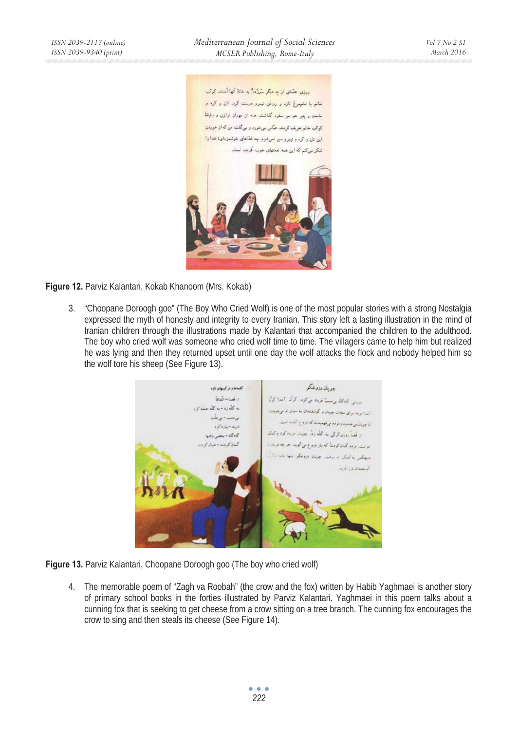روزی عدّهای از ده دیگر سَرزَده" به خانهٔ آنها آمدند. کوکب .<br>خانم با تخمرغ تازه و روغن نیمرو درست کرد. تان و کره و ماست و پنیر هم سر سفره گذاشت. همه از مهمان توازی و سلیقهٔ کوکب خانم تعریف کردند. عباس می خورد و می گفت: من که از خوردن این نان و کره و نیمرو سیر نمیشوم. چه غذاهای خوشمزهای: خدا را شکر می کنم که این همه نعمتهای خوب آفریده است.



**Figure 12.** Parviz Kalantari, Kokab Khanoom (Mrs. Kokab)

3. "Choopane Doroogh goo" (The Boy Who Cried Wolf) is one of the most popular stories with a strong Nostalgia expressed the myth of honesty and integrity to every Iranian. This story left a lasting illustration in the mind of Iranian children through the illustrations made by Kalantari that accompanied the children to the adulthood. The boy who cried wolf was someone who cried wolf time to time. The villagers came to help him but realized he was lying and then they returned upset until one day the wolf attacks the flock and nobody helped him so the wolf tore his sheep (See Figure 13).



**Figure 13.** Parviz Kalantari, Choopane Doroogh goo (The boy who cried wolf)

4. The memorable poem of "Zagh va Roobah" (the crow and the fox) written by Habib Yaghmaei is another story of primary school books in the forties illustrated by Parviz Kalantari. Yaghmaei in this poem talks about a cunning fox that is seeking to get cheese from a crow sitting on a tree branch. The cunning fox encourages the crow to sing and then steals its cheese (See Figure 14).

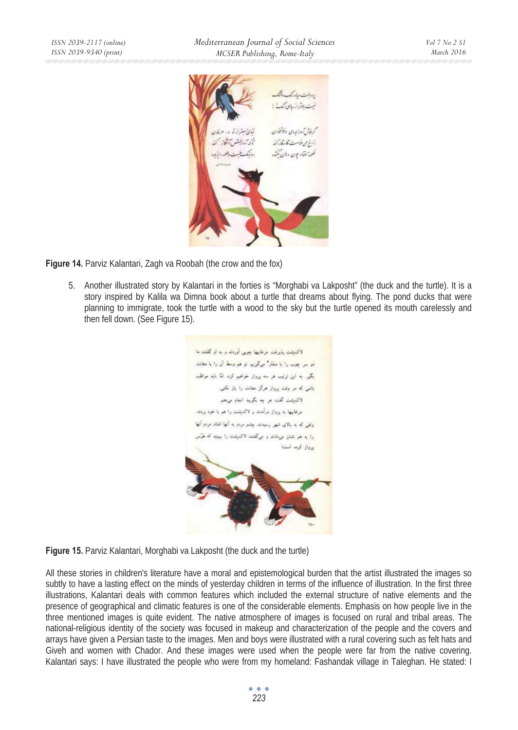

**Figure 14.** Parviz Kalantari, Zagh va Roobah (the crow and the fox)

5. Another illustrated story by Kalantari in the forties is "Morghabi va Lakposht" (the duck and the turtle). It is a story inspired by Kalila wa Dimna book about a turtle that dreams about flying. The pond ducks that were planning to immigrate, took the turtle with a wood to the sky but the turtle opened its mouth carelessly and then fell down. (See Figure 15).

لاكتشت بذرفت مرغاسها جوبى أوردند و به او گفتند ما دو سر جوب را با متقار" میگیرند. تو هم وسط آن را با دهانت یگیر. به این نرتیب هر سه پرواز خواهیم کرد. امّا باید مواظب .<br>باشی که در وقت پرواز هرگز دهانت را باز نکسی. لاک پشت گفت: هر چه بگویید انجام میردهم. مرغابيها به برواز درآمدند و لاک.شت را هم با خود بردند. وقتی که به بالای شهر رسیدند. چشم مردم به آنها افتاد مردم آنها را به هم نشان می،ادند و میگفتند: لاک پشت را ببینید که هُوَس يرواز كرده است!

**Figure 15.** Parviz Kalantari, Morghabi va Lakposht (the duck and the turtle)

All these stories in children's literature have a moral and epistemological burden that the artist illustrated the images so subtly to have a lasting effect on the minds of yesterday children in terms of the influence of illustration. In the first three illustrations, Kalantari deals with common features which included the external structure of native elements and the presence of geographical and climatic features is one of the considerable elements. Emphasis on how people live in the three mentioned images is quite evident. The native atmosphere of images is focused on rural and tribal areas. The national-religious identity of the society was focused in makeup and characterization of the people and the covers and arrays have given a Persian taste to the images. Men and boys were illustrated with a rural covering such as felt hats and Giveh and women with Chador. And these images were used when the people were far from the native covering. Kalantari says: I have illustrated the people who were from my homeland: Fashandak village in Taleghan. He stated: I